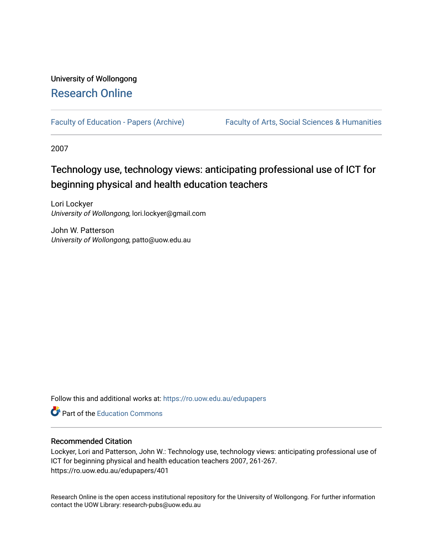## University of Wollongong [Research Online](https://ro.uow.edu.au/)

[Faculty of Education - Papers \(Archive\)](https://ro.uow.edu.au/edupapers) Faculty of Arts, Social Sciences & Humanities

2007

# Technology use, technology views: anticipating professional use of ICT for beginning physical and health education teachers

Lori Lockyer University of Wollongong, lori.lockyer@gmail.com

John W. Patterson University of Wollongong, patto@uow.edu.au

Follow this and additional works at: [https://ro.uow.edu.au/edupapers](https://ro.uow.edu.au/edupapers?utm_source=ro.uow.edu.au%2Fedupapers%2F401&utm_medium=PDF&utm_campaign=PDFCoverPages) 

**C** Part of the [Education Commons](http://network.bepress.com/hgg/discipline/784?utm_source=ro.uow.edu.au%2Fedupapers%2F401&utm_medium=PDF&utm_campaign=PDFCoverPages)

#### Recommended Citation

Lockyer, Lori and Patterson, John W.: Technology use, technology views: anticipating professional use of ICT for beginning physical and health education teachers 2007, 261-267. https://ro.uow.edu.au/edupapers/401

Research Online is the open access institutional repository for the University of Wollongong. For further information contact the UOW Library: research-pubs@uow.edu.au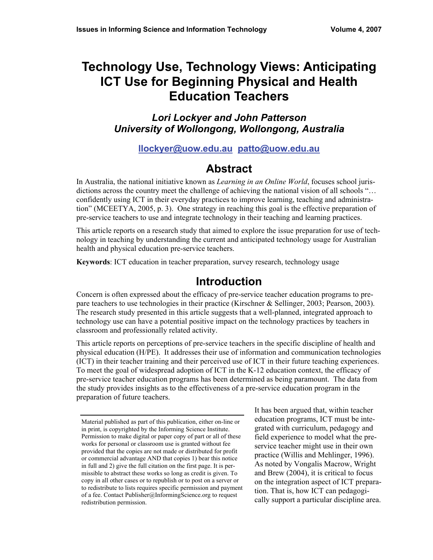# **Technology Use, Technology Views: Anticipating ICT Use for Beginning Physical and Health Education Teachers**

#### *Lori Lockyer and John Patterson University of Wollongong, Wollongong, Australia*

#### **llockyer@uow.edu.au patto@uow.edu.au**

#### **Abstract**

In Australia, the national initiative known as *Learning in an Online World*, focuses school jurisdictions across the country meet the challenge of achieving the national vision of all schools "… confidently using ICT in their everyday practices to improve learning, teaching and administration" (MCEETYA, 2005, p. 3). One strategy in reaching this goal is the effective preparation of pre-service teachers to use and integrate technology in their teaching and learning practices.

This article reports on a research study that aimed to explore the issue preparation for use of technology in teaching by understanding the current and anticipated technology usage for Australian health and physical education pre-service teachers.

**Keywords**: ICT education in teacher preparation, survey research, technology usage

#### **Introduction**

Concern is often expressed about the efficacy of pre-service teacher education programs to prepare teachers to use technologies in their practice (Kirschner & Sellinger, 2003; Pearson, 2003). The research study presented in this article suggests that a well-planned, integrated approach to technology use can have a potential positive impact on the technology practices by teachers in classroom and professionally related activity.

This article reports on perceptions of pre-service teachers in the specific discipline of health and physical education (H/PE). It addresses their use of information and communication technologies (ICT) in their teacher training and their perceived use of ICT in their future teaching experiences. To meet the goal of widespread adoption of ICT in the K-12 education context, the efficacy of pre-service teacher education programs has been determined as being paramount. The data from the study provides insights as to the effectiveness of a pre-service education program in the preparation of future teachers.

It has been argued that, within teacher education programs, ICT must be integrated with curriculum, pedagogy and field experience to model what the preservice teacher might use in their own practice (Willis and Mehlinger, 1996). As noted by Vongalis Macrow, Wright and Brew (2004), it is critical to focus on the integration aspect of ICT preparation. That is, how ICT can pedagogically support a particular discipline area.

Material published as part of this publication, either on-line or in print, is copyrighted by the Informing Science Institute. Permission to make digital or paper copy of part or all of these works for personal or classroom use is granted without fee provided that the copies are not made or distributed for profit or commercial advantage AND that copies 1) bear this notice in full and 2) give the full citation on the first page. It is permissible to abstract these works so long as credit is given. To copy in all other cases or to republish or to post on a server or to redistribute to lists requires specific permission and payment of a fee. Contact Publisher@InformingScience.org to request redistribution permission.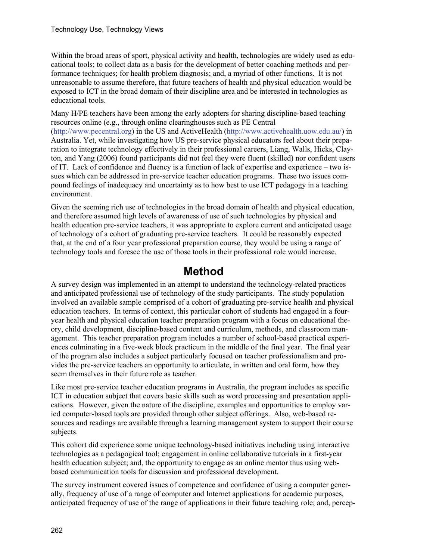Within the broad areas of sport, physical activity and health, technologies are widely used as educational tools; to collect data as a basis for the development of better coaching methods and performance techniques; for health problem diagnosis; and, a myriad of other functions. It is not unreasonable to assume therefore, that future teachers of health and physical education would be exposed to ICT in the broad domain of their discipline area and be interested in technologies as educational tools.

Many H/PE teachers have been among the early adopters for sharing discipline-based teaching resources online (e.g., through online clearinghouses such as PE Central (http://www.pecentral.org) in the US and ActiveHealth (http://www.activehealth.uow.edu.au/) in Australia. Yet, while investigating how US pre-service physical educators feel about their preparation to integrate technology effectively in their professional careers, Liang, Walls, Hicks, Clayton, and Yang (2006) found participants did not feel they were fluent (skilled) nor confident users of IT. Lack of confidence and fluency is a function of lack of expertise and experience – two issues which can be addressed in pre-service teacher education programs. These two issues compound feelings of inadequacy and uncertainty as to how best to use ICT pedagogy in a teaching environment.

Given the seeming rich use of technologies in the broad domain of health and physical education, and therefore assumed high levels of awareness of use of such technologies by physical and health education pre-service teachers, it was appropriate to explore current and anticipated usage of technology of a cohort of graduating pre-service teachers. It could be reasonably expected that, at the end of a four year professional preparation course, they would be using a range of technology tools and foresee the use of those tools in their professional role would increase.

# **Method**

A survey design was implemented in an attempt to understand the technology-related practices and anticipated professional use of technology of the study participants. The study population involved an available sample comprised of a cohort of graduating pre-service health and physical education teachers. In terms of context, this particular cohort of students had engaged in a fouryear health and physical education teacher preparation program with a focus on educational theory, child development, discipline-based content and curriculum, methods, and classroom management. This teacher preparation program includes a number of school-based practical experiences culminating in a five-week block practicum in the middle of the final year. The final year of the program also includes a subject particularly focused on teacher professionalism and provides the pre-service teachers an opportunity to articulate, in written and oral form, how they seem themselves in their future role as teacher.

Like most pre-service teacher education programs in Australia, the program includes as specific ICT in education subject that covers basic skills such as word processing and presentation applications. However, given the nature of the discipline, examples and opportunities to employ varied computer-based tools are provided through other subject offerings. Also, web-based resources and readings are available through a learning management system to support their course subjects.

This cohort did experience some unique technology-based initiatives including using interactive technologies as a pedagogical tool; engagement in online collaborative tutorials in a first-year health education subject; and, the opportunity to engage as an online mentor thus using webbased communication tools for discussion and professional development.

The survey instrument covered issues of competence and confidence of using a computer generally, frequency of use of a range of computer and Internet applications for academic purposes, anticipated frequency of use of the range of applications in their future teaching role; and, percep-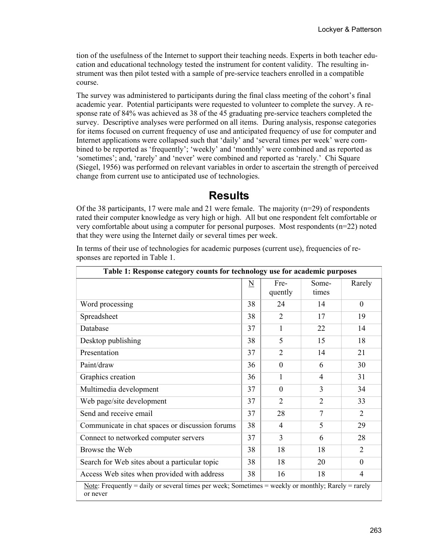tion of the usefulness of the Internet to support their teaching needs. Experts in both teacher education and educational technology tested the instrument for content validity. The resulting instrument was then pilot tested with a sample of pre-service teachers enrolled in a compatible course.

The survey was administered to participants during the final class meeting of the cohort's final academic year. Potential participants were requested to volunteer to complete the survey. A response rate of 84% was achieved as 38 of the 45 graduating pre-service teachers completed the survey. Descriptive analyses were performed on all items. During analysis, response categories for items focused on current frequency of use and anticipated frequency of use for computer and Internet applications were collapsed such that 'daily' and 'several times per week' were combined to be reported as 'frequently'; 'weekly' and 'monthly' were combined and as reported as 'sometimes'; and, 'rarely' and 'never' were combined and reported as 'rarely.' Chi Square (Siegel, 1956) was performed on relevant variables in order to ascertain the strength of perceived change from current use to anticipated use of technologies.

## **Results**

Of the 38 participants, 17 were male and 21 were female. The majority  $(n=29)$  of respondents rated their computer knowledge as very high or high. All but one respondent felt comfortable or very comfortable about using a computer for personal purposes. Most respondents (n=22) noted that they were using the Internet daily or several times per week.

| Table 1: Response category counts for technology use for academic purposes                                     |                     |                             |                |                             |  |
|----------------------------------------------------------------------------------------------------------------|---------------------|-----------------------------|----------------|-----------------------------|--|
|                                                                                                                | $\underline{\rm N}$ | Fre-<br>quently             | Some-<br>times | Rarely                      |  |
| Word processing                                                                                                | 38                  | 24                          | 14             | $\Omega$                    |  |
| Spreadsheet                                                                                                    | 38                  | $\mathcal{D}_{\mathcal{L}}$ | 17             | 19                          |  |
| Database                                                                                                       | 37                  | 1                           | 22             | 14                          |  |
| Desktop publishing                                                                                             | 38                  | 5                           | 15             | 18                          |  |
| Presentation                                                                                                   | 37                  | $\overline{2}$              | 14             | 21                          |  |
| Paint/draw                                                                                                     | 36                  | $\Omega$                    | 6              | 30                          |  |
| Graphics creation                                                                                              | 36                  | 1                           | 4              | 31                          |  |
| Multimedia development                                                                                         | 37                  | $\Omega$                    | 3              | 34                          |  |
| Web page/site development                                                                                      | 37                  | $\overline{2}$              | $\mathfrak{D}$ | 33                          |  |
| Send and receive email                                                                                         | 37                  | 28                          | 7              | $\overline{2}$              |  |
| Communicate in chat spaces or discussion forums                                                                | 38                  | 4                           | 5              | 29                          |  |
| Connect to networked computer servers                                                                          | 37                  | 3                           | 6              | 28                          |  |
| Browse the Web                                                                                                 | 38                  | 18                          | 18             | $\mathcal{D}_{\mathcal{L}}$ |  |
| Search for Web sites about a particular topic                                                                  | 38                  | 18                          | 20             | $\Omega$                    |  |
| Access Web sites when provided with address                                                                    | 38                  | 16                          | 18             | 4                           |  |
| Note: Frequently = daily or several times per week; Sometimes = weekly or monthly; Rarely = rarely<br>or never |                     |                             |                |                             |  |

In terms of their use of technologies for academic purposes (current use), frequencies of responses are reported in Table 1.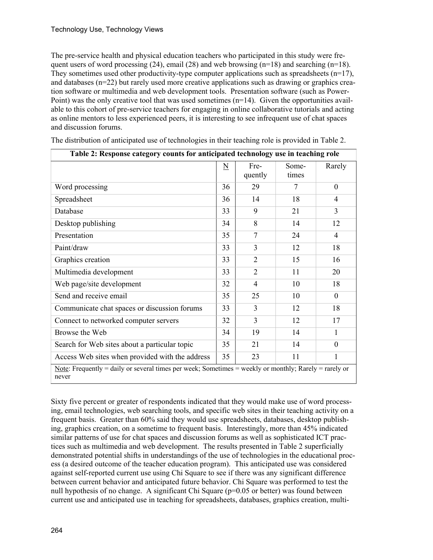The pre-service health and physical education teachers who participated in this study were frequent users of word processing  $(24)$ , email  $(28)$  and web browsing  $(n=18)$  and searching  $(n=18)$ . They sometimes used other productivity-type computer applications such as spreadsheets  $(n=17)$ , and databases (n=22) but rarely used more creative applications such as drawing or graphics creation software or multimedia and web development tools. Presentation software (such as Power-Point) was the only creative tool that was used sometimes  $(n=14)$ . Given the opportunities available to this cohort of pre-service teachers for engaging in online collaborative tutorials and acting as online mentors to less experienced peers, it is interesting to see infrequent use of chat spaces and discussion forums.

|                                                 | $\underline{\mathbf{N}}$ | Fre-<br>quently | Some-<br>times | Rarely         |
|-------------------------------------------------|--------------------------|-----------------|----------------|----------------|
| Word processing                                 | 36                       | 29              | 7              | $\mathbf{0}$   |
| Spreadsheet                                     | 36                       | 14              | 18             | 4              |
| Database                                        | 33                       | 9               | 21             | 3              |
| Desktop publishing                              | 34                       | 8               | 14             | 12             |
| Presentation                                    | 35                       | 7               | 24             | $\overline{4}$ |
| Paint/draw                                      | 33                       | 3               | 12             | 18             |
| Graphics creation                               | 33                       | $\overline{2}$  | 15             | 16             |
| Multimedia development                          | 33                       | $\overline{2}$  | 11             | 20             |
| Web page/site development                       | 32                       | $\overline{4}$  | 10             | 18             |
| Send and receive email                          | 35                       | 25              | 10             | $\theta$       |
| Communicate chat spaces or discussion forums    | 33                       | 3               | 12             | 18             |
| Connect to networked computer servers           | 32                       | 3               | 12             | 17             |
| Browse the Web                                  | 34                       | 19              | 14             | 1              |
| Search for Web sites about a particular topic   | 35                       | 21              | 14             | $\theta$       |
| Access Web sites when provided with the address | 35                       | 23              | 11             | 1              |

The distribution of anticipated use of technologies in their teaching role is provided in Table 2.

Sixty five percent or greater of respondents indicated that they would make use of word processing, email technologies, web searching tools, and specific web sites in their teaching activity on a frequent basis. Greater than 60% said they would use spreadsheets, databases, desktop publishing, graphics creation, on a sometime to frequent basis. Interestingly, more than 45% indicated similar patterns of use for chat spaces and discussion forums as well as sophisticated ICT practices such as multimedia and web development. The results presented in Table 2 superficially demonstrated potential shifts in understandings of the use of technologies in the educational process (a desired outcome of the teacher education program). This anticipated use was considered against self-reported current use using Chi Square to see if there was any significant difference between current behavior and anticipated future behavior. Chi Square was performed to test the null hypothesis of no change. A significant Chi Square ( $p=0.05$  or better) was found between current use and anticipated use in teaching for spreadsheets, databases, graphics creation, multi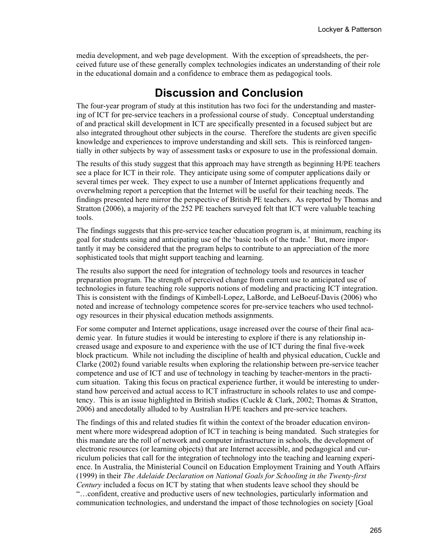media development, and web page development. With the exception of spreadsheets, the perceived future use of these generally complex technologies indicates an understanding of their role in the educational domain and a confidence to embrace them as pedagogical tools.

# **Discussion and Conclusion**

The four-year program of study at this institution has two foci for the understanding and mastering of ICT for pre-service teachers in a professional course of study. Conceptual understanding of and practical skill development in ICT are specifically presented in a focused subject but are also integrated throughout other subjects in the course. Therefore the students are given specific knowledge and experiences to improve understanding and skill sets. This is reinforced tangentially in other subjects by way of assessment tasks or exposure to use in the professional domain.

The results of this study suggest that this approach may have strength as beginning H/PE teachers see a place for ICT in their role. They anticipate using some of computer applications daily or several times per week. They expect to use a number of Internet applications frequently and overwhelming report a perception that the Internet will be useful for their teaching needs. The findings presented here mirror the perspective of British PE teachers. As reported by Thomas and Stratton (2006), a majority of the 252 PE teachers surveyed felt that ICT were valuable teaching tools.

The findings suggests that this pre-service teacher education program is, at minimum, reaching its goal for students using and anticipating use of the 'basic tools of the trade.' But, more importantly it may be considered that the program helps to contribute to an appreciation of the more sophisticated tools that might support teaching and learning.

The results also support the need for integration of technology tools and resources in teacher preparation program. The strength of perceived change from current use to anticipated use of technologies in future teaching role supports notions of modeling and practicing ICT integration. This is consistent with the findings of Kimbell-Lopez, LaBorde, and LeBoeuf-Davis (2006) who noted and increase of technology competence scores for pre-service teachers who used technology resources in their physical education methods assignments.

For some computer and Internet applications, usage increased over the course of their final academic year. In future studies it would be interesting to explore if there is any relationship increased usage and exposure to and experience with the use of ICT during the final five-week block practicum. While not including the discipline of health and physical education, Cuckle and Clarke (2002) found variable results when exploring the relationship between pre-service teacher competence and use of ICT and use of technology in teaching by teacher-mentors in the practicum situation. Taking this focus on practical experience further, it would be interesting to understand how perceived and actual access to ICT infrastructure in schools relates to use and competency. This is an issue highlighted in British studies (Cuckle & Clark, 2002; Thomas & Stratton, 2006) and anecdotally alluded to by Australian H/PE teachers and pre-service teachers.

The findings of this and related studies fit within the context of the broader education environment where more widespread adoption of ICT in teaching is being mandated. Such strategies for this mandate are the roll of network and computer infrastructure in schools, the development of electronic resources (or learning objects) that are Internet accessible, and pedagogical and curriculum policies that call for the integration of technology into the teaching and learning experience. In Australia, the Ministerial Council on Education Employment Training and Youth Affairs (1999) in their *The Adelaide Declaration on National Goals for Schooling in the Twenty-first Century* included a focus on ICT by stating that when students leave school they should be "…confident, creative and productive users of new technologies, particularly information and communication technologies, and understand the impact of those technologies on society [Goal